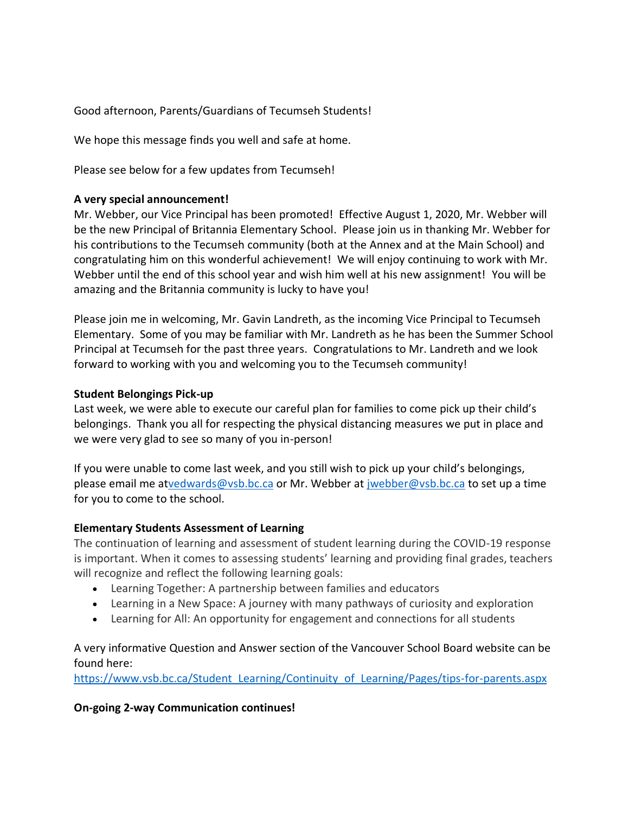Good afternoon, Parents/Guardians of Tecumseh Students!

We hope this message finds you well and safe at home.

Please see below for a few updates from Tecumseh!

#### **A very special announcement!**

Mr. Webber, our Vice Principal has been promoted! Effective August 1, 2020, Mr. Webber will be the new Principal of Britannia Elementary School. Please join us in thanking Mr. Webber for his contributions to the Tecumseh community (both at the Annex and at the Main School) and congratulating him on this wonderful achievement! We will enjoy continuing to work with Mr. Webber until the end of this school year and wish him well at his new assignment! You will be amazing and the Britannia community is lucky to have you!

Please join me in welcoming, Mr. Gavin Landreth, as the incoming Vice Principal to Tecumseh Elementary. Some of you may be familiar with Mr. Landreth as he has been the Summer School Principal at Tecumseh for the past three years. Congratulations to Mr. Landreth and we look forward to working with you and welcoming you to the Tecumseh community!

#### **Student Belongings Pick-up**

Last week, we were able to execute our careful plan for families to come pick up their child's belongings. Thank you all for respecting the physical distancing measures we put in place and we were very glad to see so many of you in-person!

If you were unable to come last week, and you still wish to pick up your child's belongings, please email me a[tvedwards@vsb.bc.ca](mailto:vedwards@vsb.bc.ca) or Mr. Webber at [jwebber@vsb.bc.ca](mailto:jwebber@vsb.bc.ca) to set up a time for you to come to the school.

## **Elementary Students Assessment of Learning**

The continuation of learning and assessment of student learning during the COVID-19 response is important. When it comes to assessing students' learning and providing final grades, teachers will recognize and reflect the following learning goals:

- Learning Together: A partnership between families and educators
- Learning in a New Space: A journey with many pathways of curiosity and exploration
- Learning for All: An opportunity for engagement and connections for all students

## A very informative Question and Answer section of the Vancouver School Board website can be found here:

https://www.vsb.bc.ca/Student Learning/Continuity of Learning/Pages/tips-for-parents.aspx

## **On-going 2-way Communication continues!**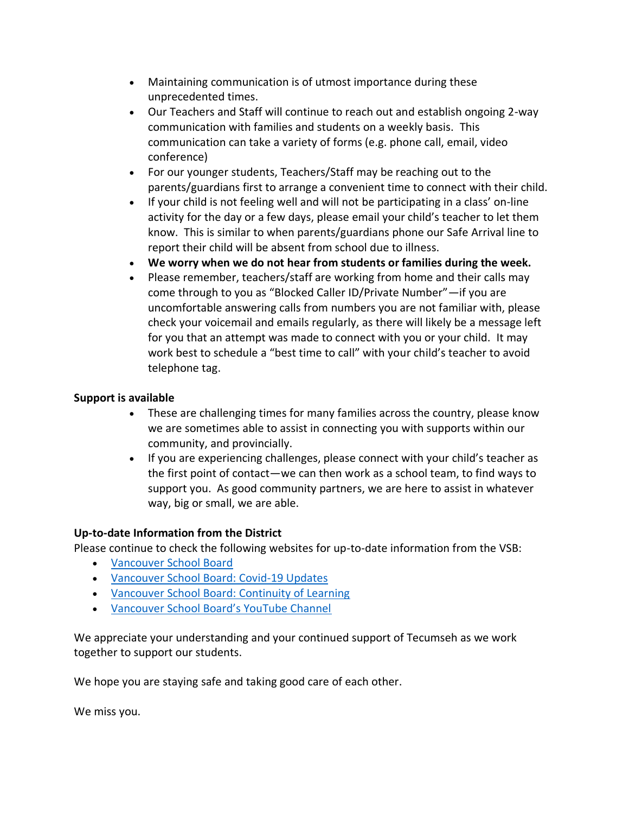- Maintaining communication is of utmost importance during these unprecedented times.
- Our Teachers and Staff will continue to reach out and establish ongoing 2-way communication with families and students on a weekly basis. This communication can take a variety of forms (e.g. phone call, email, video conference)
- For our younger students, Teachers/Staff may be reaching out to the parents/guardians first to arrange a convenient time to connect with their child.
- If your child is not feeling well and will not be participating in a class' on-line activity for the day or a few days, please email your child's teacher to let them know. This is similar to when parents/guardians phone our Safe Arrival line to report their child will be absent from school due to illness.
- **We worry when we do not hear from students or families during the week.**
- Please remember, teachers/staff are working from home and their calls may come through to you as "Blocked Caller ID/Private Number"—if you are uncomfortable answering calls from numbers you are not familiar with, please check your voicemail and emails regularly, as there will likely be a message left for you that an attempt was made to connect with you or your child. It may work best to schedule a "best time to call" with your child's teacher to avoid telephone tag.

## **Support is available**

- These are challenging times for many families across the country, please know we are sometimes able to assist in connecting you with supports within our community, and provincially.
- If you are experiencing challenges, please connect with your child's teacher as the first point of contact—we can then work as a school team, to find ways to support you. As good community partners, we are here to assist in whatever way, big or small, we are able.

# **Up-to-date Information from the District**

Please continue to check the following websites for up-to-date information from the VSB:

- [Vancouver School Board](http://www.vsb.bc.ca/)
- [Vancouver School Board: Covid-19 Updates](https://www.vsb.bc.ca/News/Pages/COVID-19-Updates.aspx)
- [Vancouver School Board: Continuity of Learning](https://www.vsb.bc.ca/Student_Learning/Continuity_of_Learning/Pages/default.aspx)
- [Vancouver School Board's YouTube Channel](https://www.youtube.com/user/VanSchoolBoard)

We appreciate your understanding and your continued support of Tecumseh as we work together to support our students.

We hope you are staying safe and taking good care of each other.

We miss you.